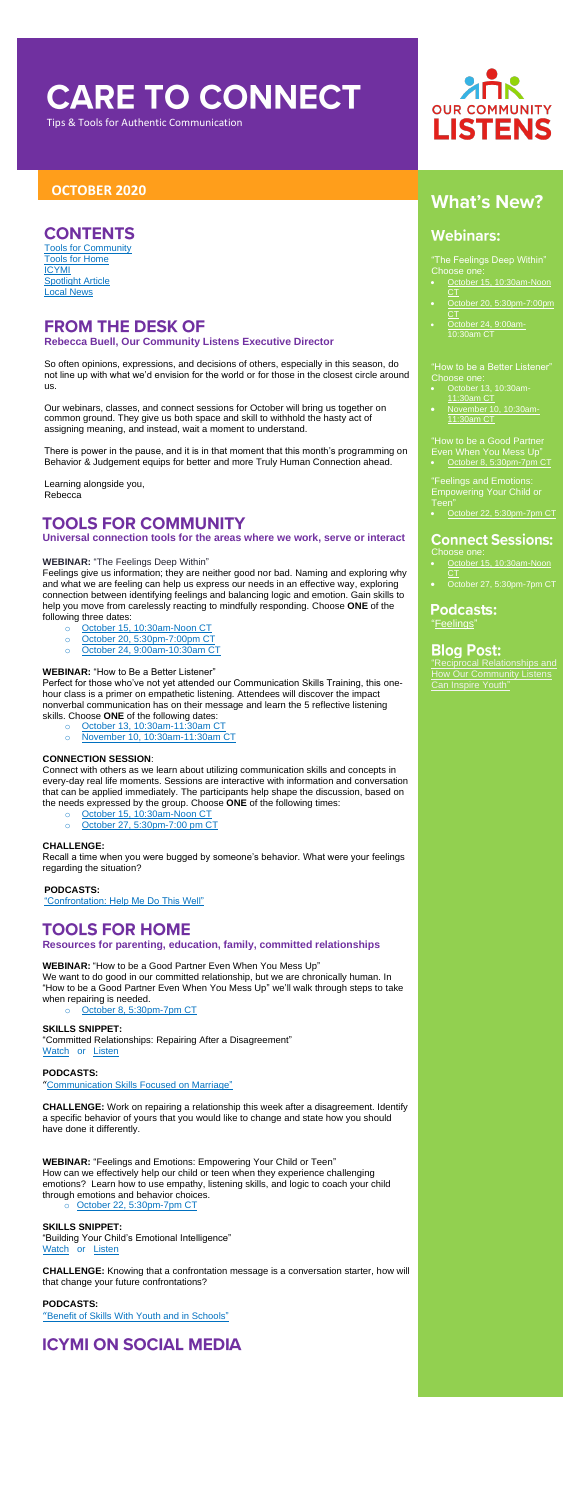# **CARE TO CONNECT**

Tips & Tools for Authentic Communication

## **OCTOBER 2020**

## **CONTENTS**

"The Feelings Deep Within" Choose one:

- [October 15, 10:30am-Noon](https://us02web.zoom.us/meeting/register/tZcrdeuoqz8oE9LiJySYN15-idM-gTGP0kui)  [CT](https://us02web.zoom.us/meeting/register/tZcrdeuoqz8oE9LiJySYN15-idM-gTGP0kui)
- [October 20, 5:30pm-7:00pm](https://us02web.zoom.us/meeting/register/tZwude2rrD4qG9dpJXq2g5VfZFbcpYsx4Fd9)   $CT$
- [October 24, 9:00am-](https://us02web.zoom.us/meeting/register/tZcrd-CgpjkuHNNdNRFxGdmUD1eO8VSOQtlJ)

"How to be a Better Listener" Choose one:

- [October 13, 10:30am-](https://us02web.zoom.us/meeting/register/tZUldeipqzsuE9Wir1U4UyiXjg1czOZay7xz)[11:30am CT](https://us02web.zoom.us/meeting/register/tZUldeipqzsuE9Wir1U4UyiXjg1czOZay7xz)
- [November 10, 10:30am-](https://us02web.zoom.us/meeting/register/tZcsc-utrjspHtM__iinKjNseMpP7zPBKKz1)[11:30am CT](https://us02web.zoom.us/meeting/register/tZcsc-utrjspHtM__iinKjNseMpP7zPBKKz1)

- Choose one:
- [October 15, 10:30am-Noon](https://us02web.zoom.us/meeting/register/tZYvcuihqTkrGdTisKoyrVneaBDqaNYRk2Df)  **[CT](https://us02web.zoom.us/meeting/register/tZYvcuihqTkrGdTisKoyrVneaBDqaNYRk2Df)**
- [October 27, 5:30pm-7pm CT](https://us02web.zoom.us/meeting/register/tZYvcuihqTkrGdTisKoyrVneaBDqaNYRk2Df)

**Podcasts:** ["Feelings"](https://soundcloud.com/ourcommunitylistens/epi-056?fbclid=IwAR2TJNGRZfOa4uTbFxiqfK_uBp6tuNYUBZHdKGlC1i05RZYBcC1nNYMi4rM)

## **Blog Post:**

"How to be a Good Partner Even When You Mess Up"

[October 8, 5:30pm-7pm CT](https://attendee.gototraining.com/r/6384112363190346241)

## **FROM THE DESK OF Rebecca Buell, Our Community Listens Executive Director**

"Feelings and Emotions: Empowering Your Child or Teen"

• [October 22, 5:30pm-7pm CT](https://attendee.gototraining.com/r/1226770609734849025)

## **Connect Sessions:**

["Reciprocal Relationships and](https://www.ourcommunitylistens.org/blog/post/ocl/2020/07/20/reciprocal-relationships-and-how-our-community-listens-can-inspire-youth)  [Can Inspire Youth"](https://www.ourcommunitylistens.org/blog/post/ocl/2020/07/20/reciprocal-relationships-and-how-our-community-listens-can-inspire-youth)

[Tools for Community](#page-0-0) [Tools for Home](#page-0-1) [ICYMI](#page-0-2) [Spotlight Article](#page-1-0) [Local News](#page-1-1)

So often opinions, expressions, and decisions of others, especially in this season, do not line up with what we'd envision for the world or for those in the closest circle around us.

Our webinars, classes, and connect sessions for October will bring us together on common ground. They give us both space and skill to withhold the hasty act of assigning meaning, and instead, wait a moment to understand.

There is power in the pause, and it is in that moment that this month's programming on Behavior & Judgement equips for better and more Truly Human Connection ahead.

Learning alongside you, Rebecca

# <span id="page-0-0"></span>**TOOLS FOR COMMUNITY**

**Universal connection tools for the areas where we work, serve or interact**

#### **WEBINAR:** "The Feelings Deep Within"

**SKILLS SNIPPET:** "Committed Relationships: Repairing After a Disagreement" [Watch](https://youtu.be/BDti_JuoyI0) or Listen

Feelings give us information; they are neither good nor bad. Naming and exploring why and what we are feeling can help us express our needs in an effective way, exploring connection between identifying feelings and balancing logic and emotion. Gain skills to help you move from carelessly reacting to mindfully responding. Choose **ONE** of the following three dates:

- o October 15, [10:30am-Noon CT](https://us02web.zoom.us/meeting/register/tZcrdeuoqz8oE9LiJySYN15-idM-gTGP0kui)
- o [October 20, 5:30pm-7:00pm CT](https://us02web.zoom.us/meeting/register/tZwude2rrD4qG9dpJXq2g5VfZFbcpYsx4Fd9)
- o October 24, [9:00am-10:30am](https://us02web.zoom.us/meeting/register/tZcrd-CgpjkuHNNdNRFxGdmUD1eO8VSOQtlJ) CT

#### **WEBINAR:** "How to Be a Better Listener"

Perfect for those who've not yet attended our Communication Skills Training, this onehour class is a primer on empathetic listening. Attendees will discover the impact nonverbal communication has on their message and learn the 5 reflective listening skills. Choose **ONE** of the following dates:

- o [October 13, 10:30am-11:30am CT](https://us02web.zoom.us/meeting/register/tZUldeipqzsuE9Wir1U4UyiXjg1czOZay7xz)
	- o [November 10, 10:30am-11:30am CT](https://us02web.zoom.us/meeting/register/tZcsc-utrjspHtM__iinKjNseMpP7zPBKKz1)

#### **CONNECTION SESSION**:

Connect with others as we learn about utilizing communication skills and concepts in every-day real life moments. Sessions are interactive with information and conversation that can be applied immediately. The participants help shape the discussion, based on the needs expressed by the group. Choose **ONE** of the following times:

- o [October 15, 10:30am-Noon CT](https://us02web.zoom.us/meeting/register/tZYvcuihqTkrGdTisKoyrVneaBDqaNYRk2Df)
- o [October 27, 5:30pm-7:00 pm CT](https://us02web.zoom.us/meeting/register/tZEkd-GrqzwuHdQxhzlVHaBVlq0w9HLrSij9)

#### **CHALLENGE:**



# **What's New?**

## **Webinars:**

Recall a time when you were bugged by someone's behavior. What were your feelings regarding the situation?

**PODCASTS:**

["Confrontation: Help Me Do This Well"](https://soundcloud.com/ourcommunitylistens/epi004)

# <span id="page-0-1"></span>**TOOLS FOR HOME**

**Resources for parenting, education, family, committed relationships**

**WEBINAR:** "How to be a Good Partner Even When You Mess Up"

We want to do good in our committed relationship, but we are chronically human. In "How to be a Good Partner Even When You Mess Up" we'll walk through steps to take when repairing is needed.

o [October 8, 5:30pm-7pm CT](https://attendee.gototraining.com/r/6384112363190346241)

### **PODCASTS:**

"[Communication Skills Focused on Marriage"](https://soundcloud.com/ourcommunitylistens/epi-040)

**CHALLENGE:** Work on repairing a relationship this week after a disagreement. Identify a specific behavior of yours that you would like to change and state how you should have done it differently.

**WEBINAR:** "Feelings and Emotions: Empowering Your Child or Teen" How can we effectively help our child or teen when they experience challenging emotions? Learn how to use empathy, listening skills, and logic to coach your child through emotions and behavior choices.

o [October 22, 5:30pm-7pm CT](https://attendee.gototraining.com/r/1226770609734849025)

#### **SKILLS SNIPPET:**

"Building Your Child's Emotional Intelligence" [Watch](https://youtu.be/U3W-QsLb7v0) or [Listen](https://soundcloud.com/ourcommunitylistens/ss-building-your-childs-emotional-intelligence)

**CHALLENGE:** Knowing that a confrontation message is a conversation starter, how will that change your future confrontations?

#### **PODCASTS:**

"[Benefit of Skills With Youth and in Schools"](https://soundcloud.com/ourcommunitylistens/epi048)

# <span id="page-0-2"></span>**ICYMI ON SOCIAL MEDIA**